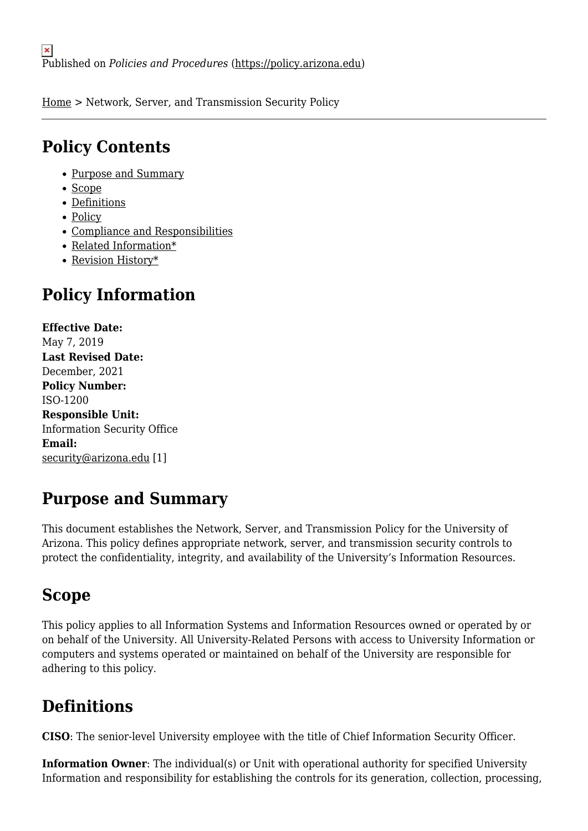[Home](https://policy.arizona.edu/) > Network, Server, and Transmission Security Policy

## **Policy Contents**

- [Purpose and Summary](#page-0-0)
- [Scope](#page-0-1)
- [Definitions](#page-0-2)
- [Policy](#page-1-0)
- [Compliance and Responsibilities](#page-2-0)
- [Related Information\\*](#page-3-0)
- [Revision History\\*](#page-4-0)

# **Policy Information**

**Effective Date:**  May 7, 2019 **Last Revised Date:**  December, 2021 **Policy Number:**  ISO-1200 **Responsible Unit:**  Information Security Office **Email:**  [security@arizona.edu](mailto:security@arizona.edu) [1]

# <span id="page-0-0"></span>**Purpose and Summary**

This document establishes the Network, Server, and Transmission Policy for the University of Arizona. This policy defines appropriate network, server, and transmission security controls to protect the confidentiality, integrity, and availability of the University's Information Resources.

### <span id="page-0-1"></span>**Scope**

This policy applies to all Information Systems and Information Resources owned or operated by or on behalf of the University. All University-Related Persons with access to University Information or computers and systems operated or maintained on behalf of the University are responsible for adhering to this policy.

# <span id="page-0-2"></span>**Definitions**

**CISO**: The senior-level University employee with the title of Chief Information Security Officer.

**Information Owner**: The individual(s) or Unit with operational authority for specified University Information and responsibility for establishing the controls for its generation, collection, processing,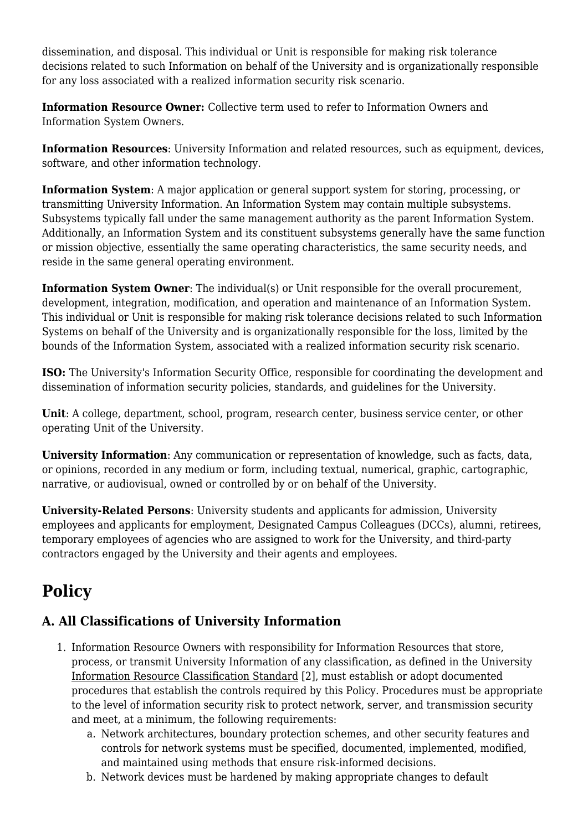dissemination, and disposal. This individual or Unit is responsible for making risk tolerance decisions related to such Information on behalf of the University and is organizationally responsible for any loss associated with a realized information security risk scenario.

**Information Resource Owner:** Collective term used to refer to Information Owners and Information System Owners.

**Information Resources**: University Information and related resources, such as equipment, devices, software, and other information technology.

**Information System**: A major application or general support system for storing, processing, or transmitting University Information. An Information System may contain multiple subsystems. Subsystems typically fall under the same management authority as the parent Information System. Additionally, an Information System and its constituent subsystems generally have the same function or mission objective, essentially the same operating characteristics, the same security needs, and reside in the same general operating environment.

**Information System Owner:** The individual(s) or Unit responsible for the overall procurement, development, integration, modification, and operation and maintenance of an Information System. This individual or Unit is responsible for making risk tolerance decisions related to such Information Systems on behalf of the University and is organizationally responsible for the loss, limited by the bounds of the Information System, associated with a realized information security risk scenario.

**ISO:** The University's Information Security Office, responsible for coordinating the development and dissemination of information security policies, standards, and guidelines for the University.

**Unit**: A college, department, school, program, research center, business service center, or other operating Unit of the University.

**University Information**: Any communication or representation of knowledge, such as facts, data, or opinions, recorded in any medium or form, including textual, numerical, graphic, cartographic, narrative, or audiovisual, owned or controlled by or on behalf of the University.

**University-Related Persons**: University students and applicants for admission, University employees and applicants for employment, Designated Campus Colleagues (DCCs), alumni, retirees, temporary employees of agencies who are assigned to work for the University, and third-party contractors engaged by the University and their agents and employees.

# <span id="page-1-0"></span>**Policy**

### **A. All Classifications of University Information**

- 1. Information Resource Owners with responsibility for Information Resources that store, process, or transmit University Information of any classification, as defined in the University [Information Resource Classification Standard](https://confluence.arizona.edu/pages/viewpage.action?spaceKey=UAIS&title=ISO-400-S1+Information+Resource+Classification+Standard) [2], must establish or adopt documented procedures that establish the controls required by this Policy. Procedures must be appropriate to the level of information security risk to protect network, server, and transmission security and meet, at a minimum, the following requirements:
	- a. Network architectures, boundary protection schemes, and other security features and controls for network systems must be specified, documented, implemented, modified, and maintained using methods that ensure risk-informed decisions.
	- b. Network devices must be hardened by making appropriate changes to default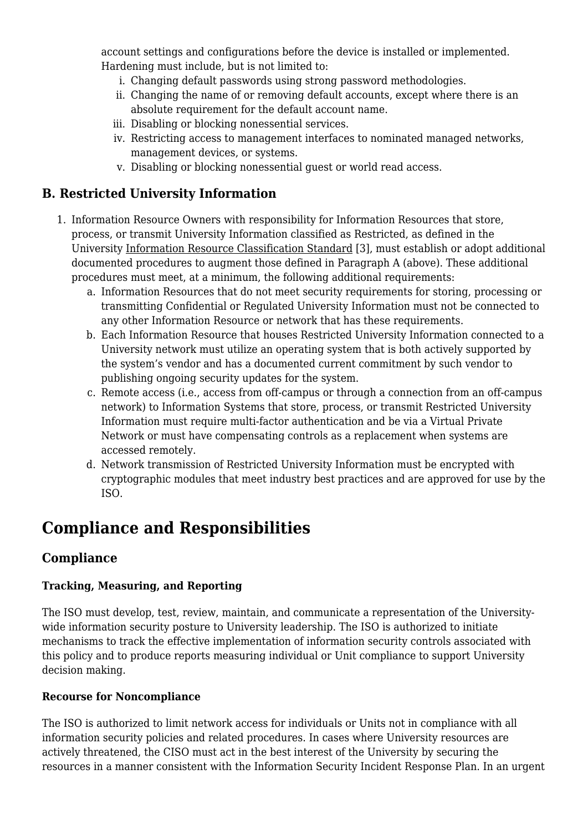account settings and configurations before the device is installed or implemented. Hardening must include, but is not limited to:

- i. Changing default passwords using strong password methodologies.
- ii. Changing the name of or removing default accounts, except where there is an absolute requirement for the default account name.
- iii. Disabling or blocking nonessential services.
- iv. Restricting access to management interfaces to nominated managed networks, management devices, or systems.
- v. Disabling or blocking nonessential guest or world read access.

### **B. Restricted University Information**

- 1. Information Resource Owners with responsibility for Information Resources that store, process, or transmit University Information classified as Restricted, as defined in the University [Information Resource Classification Standard](https://confluence.arizona.edu/display/UAIS/ISO-400-S1+Information+Resource+Classification+Standard) [3], must establish or adopt additional documented procedures to augment those defined in Paragraph A (above). These additional procedures must meet, at a minimum, the following additional requirements:
	- a. Information Resources that do not meet security requirements for storing, processing or transmitting Confidential or Regulated University Information must not be connected to any other Information Resource or network that has these requirements.
	- b. Each Information Resource that houses Restricted University Information connected to a University network must utilize an operating system that is both actively supported by the system's vendor and has a documented current commitment by such vendor to publishing ongoing security updates for the system.
	- c. Remote access (i.e., access from off-campus or through a connection from an off-campus network) to Information Systems that store, process, or transmit Restricted University Information must require multi-factor authentication and be via a Virtual Private Network or must have compensating controls as a replacement when systems are accessed remotely.
	- d. Network transmission of Restricted University Information must be encrypted with cryptographic modules that meet industry best practices and are approved for use by the ISO.

### <span id="page-2-0"></span>**Compliance and Responsibilities**

### **Compliance**

#### **Tracking, Measuring, and Reporting**

The ISO must develop, test, review, maintain, and communicate a representation of the Universitywide information security posture to University leadership. The ISO is authorized to initiate mechanisms to track the effective implementation of information security controls associated with this policy and to produce reports measuring individual or Unit compliance to support University decision making.

#### **Recourse for Noncompliance**

The ISO is authorized to limit network access for individuals or Units not in compliance with all information security policies and related procedures. In cases where University resources are actively threatened, the CISO must act in the best interest of the University by securing the resources in a manner consistent with the Information Security Incident Response Plan. In an urgent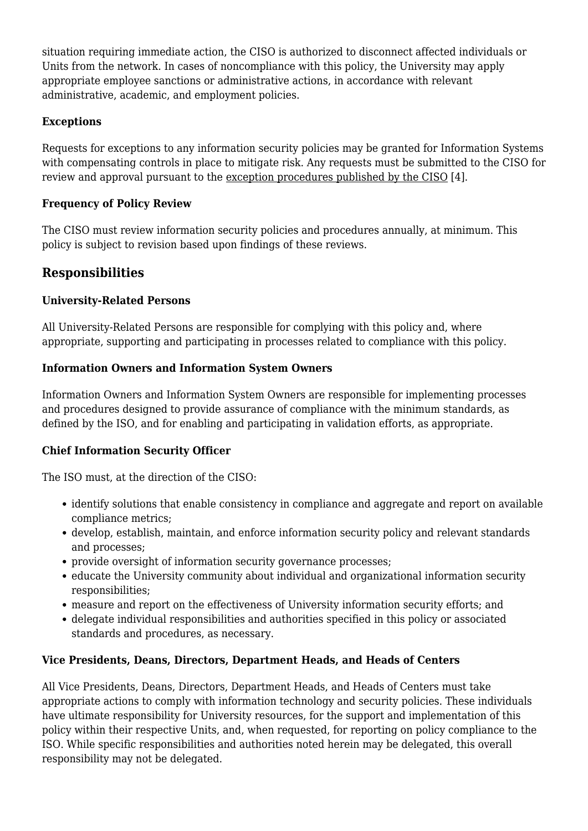situation requiring immediate action, the CISO is authorized to disconnect affected individuals or Units from the network. In cases of noncompliance with this policy, the University may apply appropriate employee sanctions or administrative actions, in accordance with relevant administrative, academic, and employment policies.

#### **Exceptions**

Requests for exceptions to any information security policies may be granted for Information Systems with compensating controls in place to mitigate risk. Any requests must be submitted to the CISO for review and approval pursuant to the [exception procedures published by the CISO](https://confluence.arizona.edu/pages/viewpage.action?spaceKey=UAIS&title=ISO-100-P1+Information+Security+Office+Policy+Exception+Request+Procedure) [4].

#### **Frequency of Policy Review**

The CISO must review information security policies and procedures annually, at minimum. This policy is subject to revision based upon findings of these reviews.

### **Responsibilities**

#### **University-Related Persons**

All University-Related Persons are responsible for complying with this policy and, where appropriate, supporting and participating in processes related to compliance with this policy.

#### **Information Owners and Information System Owners**

Information Owners and Information System Owners are responsible for implementing processes and procedures designed to provide assurance of compliance with the minimum standards, as defined by the ISO, and for enabling and participating in validation efforts, as appropriate.

#### **Chief Information Security Officer**

The ISO must, at the direction of the CISO:

- identify solutions that enable consistency in compliance and aggregate and report on available compliance metrics;
- develop, establish, maintain, and enforce information security policy and relevant standards and processes;
- provide oversight of information security governance processes;
- educate the University community about individual and organizational information security responsibilities;
- measure and report on the effectiveness of University information security efforts; and
- delegate individual responsibilities and authorities specified in this policy or associated standards and procedures, as necessary.

#### **Vice Presidents, Deans, Directors, Department Heads, and Heads of Centers**

<span id="page-3-0"></span>All Vice Presidents, Deans, Directors, Department Heads, and Heads of Centers must take appropriate actions to comply with information technology and security policies. These individuals have ultimate responsibility for University resources, for the support and implementation of this policy within their respective Units, and, when requested, for reporting on policy compliance to the ISO. While specific responsibilities and authorities noted herein may be delegated, this overall responsibility may not be delegated.